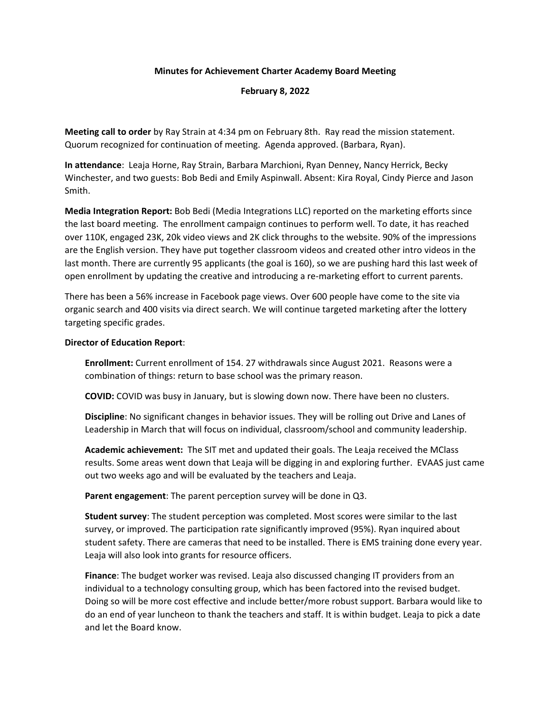## **Minutes for Achievement Charter Academy Board Meeting**

## **February 8, 2022**

**Meeting call to order** by Ray Strain at 4:34 pm on February 8th. Ray read the mission statement. Quorum recognized for continuation of meeting. Agenda approved. (Barbara, Ryan).

**In attendance**: Leaja Horne, Ray Strain, Barbara Marchioni, Ryan Denney, Nancy Herrick, Becky Winchester, and two guests: Bob Bedi and Emily Aspinwall. Absent: Kira Royal, Cindy Pierce and Jason Smith.

**Media Integration Report:** Bob Bedi (Media Integrations LLC) reported on the marketing efforts since the last board meeting. The enrollment campaign continues to perform well. To date, it has reached over 110K, engaged 23K, 20k video views and 2K click throughs to the website. 90% of the impressions are the English version. They have put together classroom videos and created other intro videos in the last month. There are currently 95 applicants (the goal is 160), so we are pushing hard this last week of open enrollment by updating the creative and introducing a re-marketing effort to current parents.

There has been a 56% increase in Facebook page views. Over 600 people have come to the site via organic search and 400 visits via direct search. We will continue targeted marketing after the lottery targeting specific grades.

## **Director of Education Report**:

**Enrollment:** Current enrollment of 154. 27 withdrawals since August 2021. Reasons were a combination of things: return to base school was the primary reason.

**COVID:** COVID was busy in January, but is slowing down now. There have been no clusters.

**Discipline**: No significant changes in behavior issues. They will be rolling out Drive and Lanes of Leadership in March that will focus on individual, classroom/school and community leadership.

**Academic achievement:** The SIT met and updated their goals. The Leaja received the MClass results. Some areas went down that Leaja will be digging in and exploring further. EVAAS just came out two weeks ago and will be evaluated by the teachers and Leaja.

**Parent engagement**: The parent perception survey will be done in Q3.

**Student survey**: The student perception was completed. Most scores were similar to the last survey, or improved. The participation rate significantly improved (95%). Ryan inquired about student safety. There are cameras that need to be installed. There is EMS training done every year. Leaja will also look into grants for resource officers.

**Finance**: The budget worker was revised. Leaja also discussed changing IT providers from an individual to a technology consulting group, which has been factored into the revised budget. Doing so will be more cost effective and include better/more robust support. Barbara would like to do an end of year luncheon to thank the teachers and staff. It is within budget. Leaja to pick a date and let the Board know.